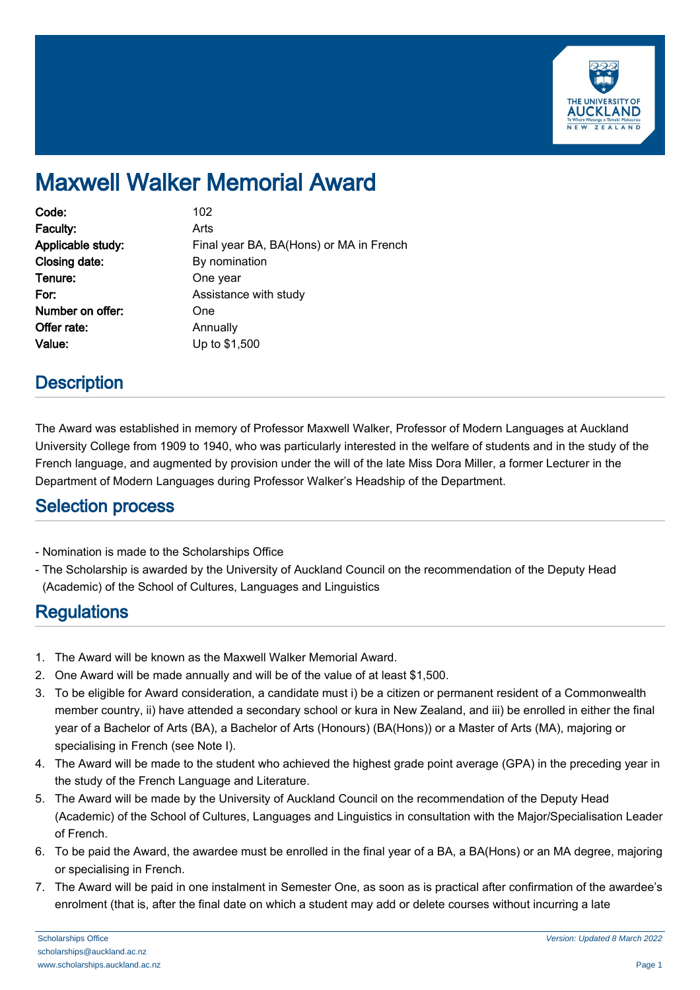

# Maxwell Walker Memorial Award

| Code:             | 102                                     |
|-------------------|-----------------------------------------|
| Faculty:          | Arts                                    |
| Applicable study: | Final year BA, BA(Hons) or MA in French |
| Closing date:     | By nomination                           |
| Tenure:           | One year                                |
| For:              | Assistance with study                   |
| Number on offer:  | One                                     |
| Offer rate:       | Annually                                |
| Value:            | Up to \$1,500                           |

## **Description**

The Award was established in memory of Professor Maxwell Walker, Professor of Modern Languages at Auckland University College from 1909 to 1940, who was particularly interested in the welfare of students and in the study of the French language, and augmented by provision under the will of the late Miss Dora Miller, a former Lecturer in the Department of Modern Languages during Professor Walker's Headship of the Department.

#### Selection process

- Nomination is made to the Scholarships Office
- The Scholarship is awarded by the University of Auckland Council on the recommendation of the Deputy Head (Academic) of the School of Cultures, Languages and Linguistics

## **Regulations**

- 1. The Award will be known as the Maxwell Walker Memorial Award.
- 2. One Award will be made annually and will be of the value of at least \$1,500.
- 3. To be eligible for Award consideration, a candidate must i) be a citizen or permanent resident of a Commonwealth member country, ii) have attended a secondary school or kura in New Zealand, and iii) be enrolled in either the final year of a Bachelor of Arts (BA), a Bachelor of Arts (Honours) (BA(Hons)) or a Master of Arts (MA), majoring or specialising in French (see Note I).
- 4. The Award will be made to the student who achieved the highest grade point average (GPA) in the preceding year in the study of the French Language and Literature.
- 5. The Award will be made by the University of Auckland Council on the recommendation of the Deputy Head (Academic) of the School of Cultures, Languages and Linguistics in consultation with the Major/Specialisation Leader of French.
- 6. To be paid the Award, the awardee must be enrolled in the final year of a BA, a BA(Hons) or an MA degree, majoring or specialising in French.
- 7. The Award will be paid in one instalment in Semester One, as soon as is practical after confirmation of the awardee's enrolment (that is, after the final date on which a student may add or delete courses without incurring a late